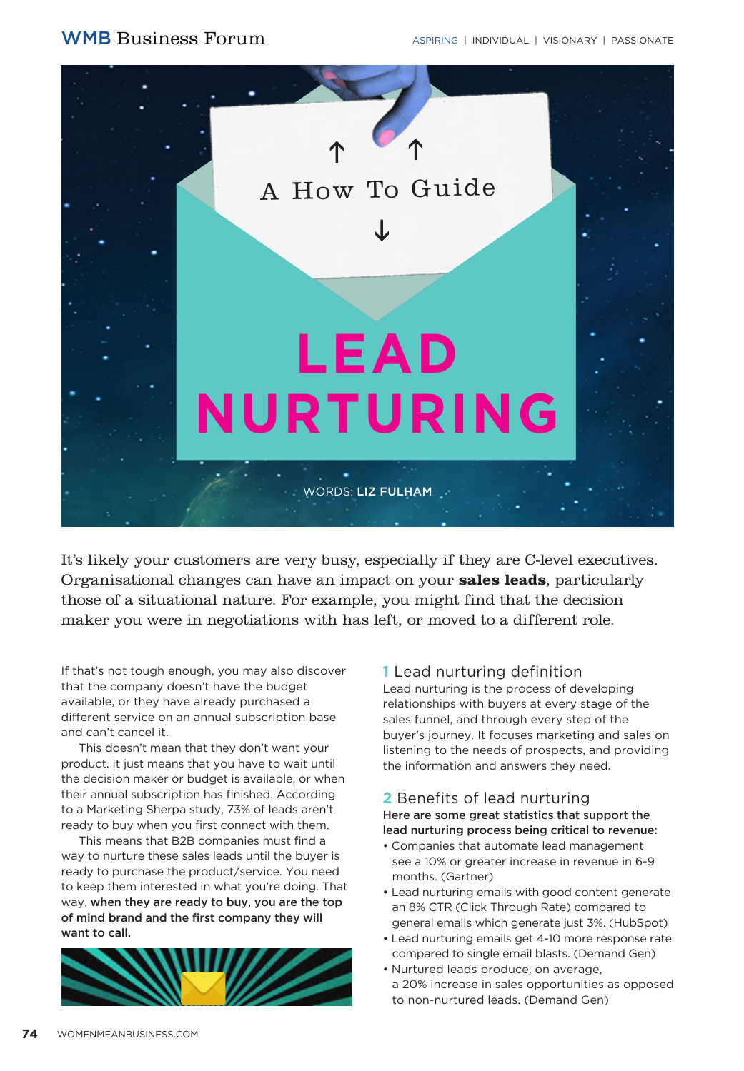

It's likely your customers are very busy, especially if they are C-level executives. Organisational changes can have an impact on your **sales leads**, particularly those of a situational nature. For example, you might find that the decision maker you were in negotiations with has left, or moved to a different role.

If that's not tough enough, you may also discover that the company doesn't have the budget available, or they have already purchased a different service on an annual subscription base and can't cancel it.

This doesn't mean that they don't want your product. It just means that you have to wait until the decision maker or budget is available, or when their annual subscription has finished. According to a Marketing Sherpa study, 73% of leads aren't ready to buy when you first connect with them.

This means that B2B companies must find a way to nurture these sales leads until the buyer is ready to purchase the product/service. You need to keep them interested in what you're doing. That way, when they are ready to buy, you are the top of mind brand and the first company they will want to call.



#### **1** Lead nurturing definition

Lead nurturing is the process of developing relationships with buyers at every stage of the sales funnel, and through every step of the buyer's journey. It focuses marketing and sales on listening to the needs of prospects, and providing the information and answers they need.

#### **2** Benefits of lead nurturing Here are some great statistics that support the lead nurturing process being critical to revenue:

- Companies that automate lead management see a 10% or greater increase in revenue in 6-9 months. (Gartner)
- Lead nurturing emails with good content generate an 8% CTR (Click Through Rate) compared to general emails which generate just 3%. (HubSpot)
- Lead nurturing emails get 4-10 more response rate compared to single email blasts. (Demand Gen)
- Nurtured leads produce, on average, a 20% increase in sales opportunities as opposed to non-nurtured leads. (Demand Gen)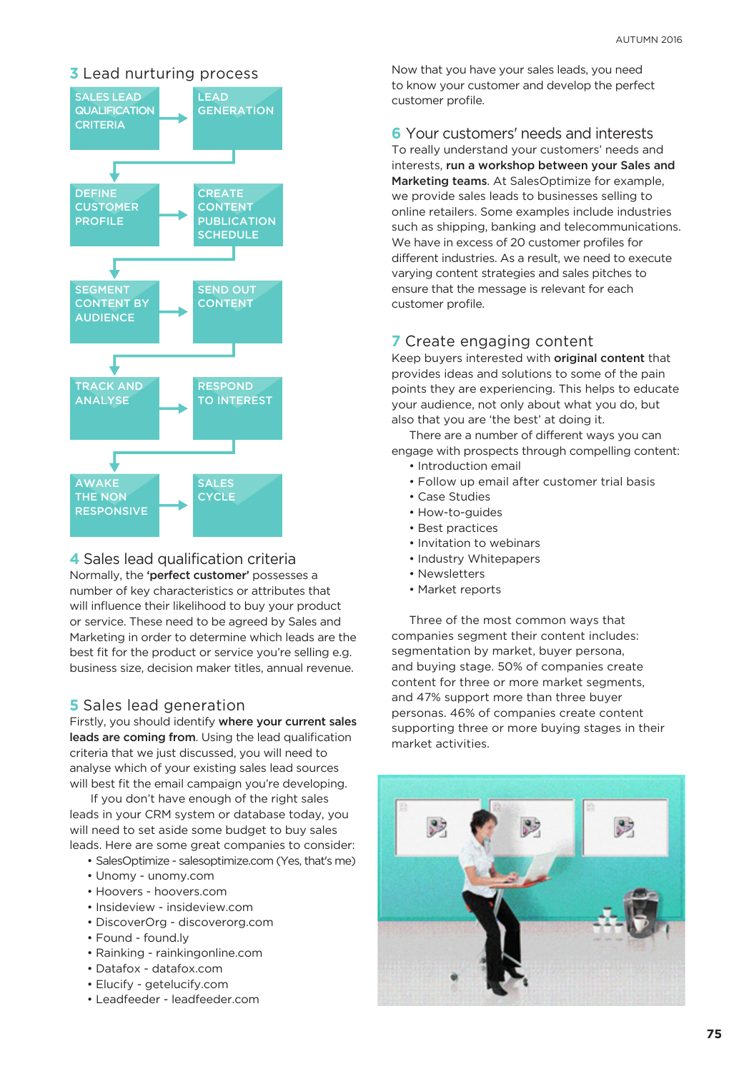

#### **4** Sales lead qualification criteria

Normally, the 'perfect customer' possesses a number of key characteristics or attributes that will influence their likelihood to buy your product or service. These need to be agreed by Sales and Marketing in order to determine which leads are the best fit for the product or service you're selling e.g. business size, decision maker titles, annual revenue.

#### **5** Sales lead generation

Firstly, you should identify where your current sales leads are coming from. Using the lead qualification criteria that we just discussed, you will need to analyse which of your existing sales lead sources will best fit the email campaign you're developing.

 If you don't have enough of the right sales leads in your CRM system or database today, you will need to set aside some budget to buy sales leads. Here are some great companies to consider:

- SalesOptimize salesoptimize.com (Yes, that's me)
- Unomy unomy.com
- Hoovers hoovers.com
- Insideview insideview.com
- DiscoverOrg discoverorg.com
- Found found.ly
- Rainking rainkingonline.com
- Datafox datafox.com
- Elucify getelucify.com
- Leadfeeder leadfeeder.com

**3** Lead nurturing process Now that you have your sales leads, you need to know your customer and develop the perfect customer profile.

> **6** Your customers' needs and interests To really understand your customers' needs and interests, run a workshop between your Sales and Marketing teams. At SalesOptimize for example, we provide sales leads to businesses selling to online retailers. Some examples include industries such as shipping, banking and telecommunications. We have in excess of 20 customer profiles for different industries. As a result, we need to execute varying content strategies and sales pitches to ensure that the message is relevant for each customer profile.

#### **7** Create engaging content

Keep buyers interested with original content that provides ideas and solutions to some of the pain points they are experiencing. This helps to educate your audience, not only about what you do, but also that you are 'the best' at doing it.

There are a number of different ways you can engage with prospects through compelling content:

- Introduction email
- Follow up email after customer trial basis
- Case Studies
- How-to-guides
- Best practices
- Invitation to webinars
- Industry Whitepapers
- Newsletters
- Market reports

Three of the most common ways that companies segment their content includes: segmentation by market, buyer persona, and buying stage. 50% of companies create content for three or more market segments, and 47% support more than three buyer personas. 46% of companies create content supporting three or more buying stages in their market activities.